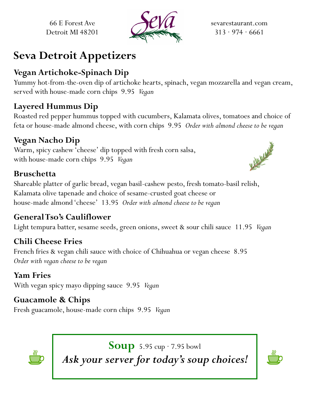66 E Forest Ave Detroit MI 48201



sevarestaurant.com  $313 \cdot 974 \cdot 6661$ 

# **Seva Detroit Appetizers**

#### **Vegan Artichoke-Spinach Dip**

Yummy hot-from-the-oven dip of artichoke hearts, spinach, vegan mozzarella and vegan cream, served with house-made corn chips 9.95 *Vegan*

#### **Layered Hummus Dip**

Roasted red pepper hummus topped with cucumbers, Kalamata olives, tomatoes and choice of feta or house-made almond cheese, with corn chips 9.95 *Order with almond cheese to be vegan*

#### **Vegan Nacho Dip**

Warm, spicy cashew 'cheese' dip topped with fresh corn salsa, with house-made corn chips 9.95 *Vegan*

#### **Bruschetta**

Shareable platter of garlic bread, vegan basil-cashew pesto, fresh tomato-basil relish, Kalamata olive tapenade and choice of sesame-crusted goat cheese or house-made almond 'cheese' 13.95 *Order with almond cheese to be vegan*

#### **General Tso's Cauliflower**

Light tempura batter, sesame seeds, green onions, sweet & sour chili sauce 11.95 *Vegan*

### **Chili Cheese Fries**

French fries & vegan chili sauce with choice of Chihuahua or vegan cheese 8.95 *Order with vegan cheese to be vegan*

#### **Yam Fries**

With vegan spicy mayo dipping sauce 9.95 *Vegan*

#### **Guacamole & Chips**

Fresh guacamole, house-made corn chips 9.95 *Vegan*



**Soup** 5.95 cup · 7.95 bowl *Ask your server for today's soup choices!*



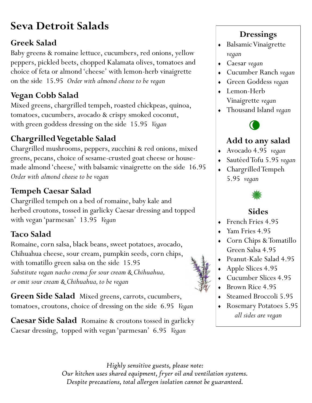# **Seva Detroit Salads**

#### **Greek Salad**

Baby greens & romaine lettuce, cucumbers, red onions, yellow peppers, pickled beets, chopped Kalamata olives, tomatoes and choice of feta or almond 'cheese' with lemon-herb vinaigrette on the side 15.95 *Order with almond cheese to be vegan*

#### **Vegan Cobb Salad**

Mixed greens, chargrilled tempeh, roasted chickpeas, quinoa, tomatoes, cucumbers, avocado & crispy smoked coconut, with green goddess dressing on the side 15.95 *Vegan*

## **ChargrilledVegetable Salad**

Chargrilled mushrooms, peppers, zucchini & red onions, mixed greens, pecans, choice of sesame-crusted goat cheese or housemade almond 'cheese,' with balsamic vinaigrette on the side 16.95 *Order with almond cheese to be vegan*

#### **Tempeh Caesar Salad**

Chargrilled tempeh on a bed of romaine, baby kale and herbed croutons, tossed in garlicky Caesar dressing and topped with vegan 'parmesan' 13.95 *Vegan*

#### **Taco Salad**

Romaine, corn salsa, black beans, sweet potatoes, avocado, Chihuahua cheese, sour cream, pumpkin seeds, corn chips, with tomatillo green salsa on the side 15.95 *Substitute vegan nacho crema for sour cream & Chihuahua, or omit sour cream & Chihuahua, to be vegan*

**Green Side Salad** Mixed greens, carrots, cucumbers, tomatoes, croutons, choice of dressing on the side 6.95 *Vegan*

**Caesar Side Salad** Romaine & croutons tossed in garlicky Caesar dressing, topped with vegan 'parmesan' 6.95 *Vegan*

#### **Dressings**

- Balsamic Vinaigrette *vegan*
- Caesar *vegan*
- Cucumber Ranch *vegan*
- Green Goddess *vegan*
- Lemon-Herb Vinaigrette *vegan*
- Thousand Island *vegan*



#### **Add to any salad**

- Avocado 4.95 *vegan*
- Sautéed Tofu 5.95 *vegan*
- Chargrilled Tempeh 5.95 *vegan*



#### **Sides**

- French Fries 4.95
- Yam Fries 4.95
- Corn Chips & Tomatillo Green Salsa 4.95
- Peanut-Kale Salad 4.95
- Apple Slices 4.95
- Cucumber Slices 4.95
- ◆ Brown Rice 4.95
- Steamed Broccoli 5.95
- Rosemary Potatoes 5.95 *all sides are vegan*

*Highly sensitive guests, please note: Our kitchen uses shared equipment, fryer oil and ventilation systems. Despite precautions, total allergen isolation cannot be guaranteed.*

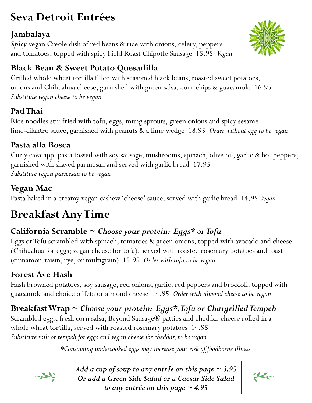# **Seva Detroit Entrées**

### **Jambalaya**

*Spicy* vegan Creole dish of red beans & rice with onions, celery, peppers and tomatoes, topped with spicy Field Roast Chipotle Sausage 15.95 *Vegan*

# **Black Bean & Sweet Potato Quesadilla**

Grilled whole wheat tortilla filled with seasoned black beans, roasted sweet potatoes, onions and Chihuahua cheese, garnished with green salsa, corn chips & guacamole 16.95 *Substitute vegan cheese to be vegan*

# **Pad Thai**

Rice noodles stir-fried with tofu, eggs, mung sprouts, green onions and spicy sesamelime-cilantro sauce, garnished with peanuts & a lime wedge 18.95 *Order without egg to be vegan*

### **Pasta alla Bosca**

Curly cavatappi pasta tossed with soy sausage, mushrooms, spinach, olive oil, garlic & hot peppers, garnished with shaved parmesan and served with garlic bread 17.95 *Substitute vegan parmesan to be vegan*

# **Vegan Mac**

Pasta baked in a creamy vegan cashew 'cheese' sauce, served with garlic bread 14.95 *Vegan*

# **Breakfast Any Time**

# **California Scramble ~** *Choose your protein: Eggs\* or Tofu*

Eggs or Tofu scrambled with spinach, tomatoes & green onions, topped with avocado and cheese (Chihuahua for eggs; vegan cheese for tofu), served with roasted rosemary potatoes and toast (cinnamon-raisin, rye, or multigrain) 15.95 *Order with tofu to be vegan*

### **Forest Ave Hash**

Hash browned potatoes, soy sausage, red onions, garlic, red peppers and broccoli, topped with guacamole and choice of feta or almond cheese 14.95 *Order with almond cheese to be vegan*

# **Breakfast Wrap ~** *Choose your protein: Eggs\*, Tofu or Chargrilled Tempeh*

Scrambled eggs, fresh corn salsa, Beyond Sausage® patties and cheddar cheese rolled in a whole wheat tortilla, served with roasted rosemary potatoes 14.95 *Substitute tofu or tempeh for eggs and vegan cheese for cheddar, to be vegan*

*\*Consuming undercooked eggs may increase your risk of foodborne illness* 



*Add a cup of soup to any entrée on this page ~ 3.95 Or add a Green Side Salad or a Caesar Side Salad to any entrée on this page ~ 4.95*

the